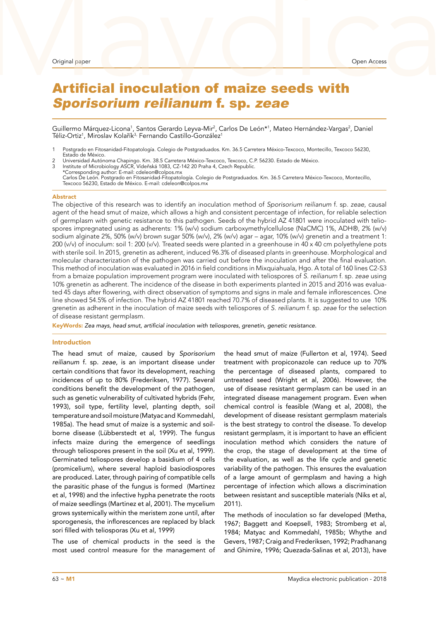# Original paper<br>Artificial inoculation of maize seeds with Artificial inoculation of maize seeds with Sporisorium reilianum f. sp. zeae

Guillermo Márquez-Licona<sup>1</sup>, Santos Gerardo Leyva-Mir<sup>2</sup>, Carlos De León\*<sup>1</sup>, Mateo Hernández-Vargas<sup>2</sup>, Daniel Téliz-Ortiz<sup>1</sup>, Miroslav Kolařík<sup>3,</sup> Fernando Castillo-González<sup>1</sup>

- 1 Postgrado en Fitosanidad-Fitopatología. Colegio de Postgraduados. Km. 36.5 Carretera México-Texcoco, Montecillo, Texcoco 56230, Estado de México.
- 2 Universidad Autónoma Chapingo. Km. 38.5 Carretera México-Texcoco, Texcoco, C.P. 56230. Estado de México.<br>3 Institute of Microbiology ASCR, Vídeňská 1083, CZ-142 20 Praha 4, Czech Republic. \*Corresponding author: E-mail: cdeleon@colpos.mx Carlos De León. Postgrado en Fitosanidad-Fitopatología. Colegio de Postgraduados. Km. 36.5 Carretera México-Texcoco, Montecillo, Texcoco 56230, Estado de México. E-mail: cdeleon@colpos.mx

### Abstract

The objective of this research was to identify an inoculation method of *Sporisorium reilianum* f. sp. *zeae*, causal agent of the head smut of maize, which allows a high and consistent percentage of infection, for reliable selection of germplasm with genetic resistance to this pathogen. Seeds of the hybrid AZ 41801 were inoculated with teliospores impregnated using as adherents: 1% (w/v) sodium carboxymethylcellulose (NaCMC) 1%, ADH®, 2% (w/v) sodium alginate 2%, 50% (w/v) brown sugar 50% (w/v), 2% (w/v) agar – agar, 10% (w/v) grenetin and a treatment 1: 200 (v/v) of inoculum: soil 1: 200 (v/v). Treated seeds were planted in a greenhouse in 40 x 40 cm polyethylene pots with sterile soil. In 2015, grenetin as adherent, induced 96.3% of diseased plants in greenhouse. Morphological and molecular characterization of the pathogen was carried out before the inoculation and after the final evaluation. This method of inoculation was evaluated in 2016 in field conditions in Mixquiahuala, Hgo. A total of 160 lines C2-S3 from a bmaize population improvement program were inoculated with teliospores of *S. reilianum* f. sp. *zeae* using 10% grenetin as adherent. The incidence of the disease in both experiments planted in 2015 and 2016 was evaluated 45 days after flowering, with direct observation of symptoms and signs in male and female inflorescences. One line showed 54.5% of infection. The hybrid AZ 41801 reached 70.7% of diseased plants. It is suggested to use 10% grenetin as adherent in the inoculation of maize seeds with teliospores of *S. reilianum* f. sp. *zeae* for the selection of disease resistant germplasm.

KeyWords: Zea mays, head smut, artificial inoculation with teliospores, grenetin, genetic resistance.

### Introduction

The head smut of maize, caused by *Sporisorium reilianum* f. sp. *zeae*, is an important disease under certain conditions that favor its development, reaching incidences of up to 80% (Frederiksen, 1977). Several conditions benefit the development of the pathogen, such as genetic vulnerability of cultivated hybrids (Fehr, 1993), soil type, fertility level, planting depth, soil temperature and soil moisture (Matyac and Kommedahl, 1985a). The head smut of maize is a systemic and soilborne disease (Lübberstedt et al, 1999). The fungus infects maize during the emergence of seedlings through teliospores present in the soil (Xu et al, 1999). Germinated teliospores develop a basidium of 4 cells (promicelium), where several haploid basiodiospores are produced. Later, through pairing of compatible cells the parasitic phase of the fungus is formed (Martinez et al, 1998) and the infective hypha penetrate the roots of maize seedlings (Martinez et al, 2001). The mycelium grows systemically within the meristem zone until, after sporogenesis, the inflorescences are replaced by black sori filled with teliosporas (Xu et al, 1999)

The use of chemical products in the seed is the most used control measure for the management of the head smut of maize (Fullerton et al, 1974). Seed treatment with propiconazole can reduce up to 70% the percentage of diseased plants, compared to untreated seed (Wright et al, 2006). However, the use of disease resistant germplasm can be used in an integrated disease management program. Even when chemical control is feasible (Wang et al, 2008), the development of disease resistant germplasm materials is the best strategy to control the disease. To develop resistant germplasm, it is important to have an efficient inoculation method which considers the nature of the crop, the stage of development at the time of the evaluation, as well as the life cycle and genetic variability of the pathogen. This ensures the evaluation of a large amount of germplasm and having a high percentage of infection which allows a discrimination between resistant and susceptible materials (Niks et al, 2011).

The methods of inoculation so far developed (Metha, 1967; Baggett and Koepsell, 1983; Stromberg et al, 1984; Matyac and Kommedahl, 1985b; Whythe and Gevers, 1987; Craig and Frederiksen, 1992; Pradhanang and Ghimire, 1996; Quezada-Salinas et al, 2013), have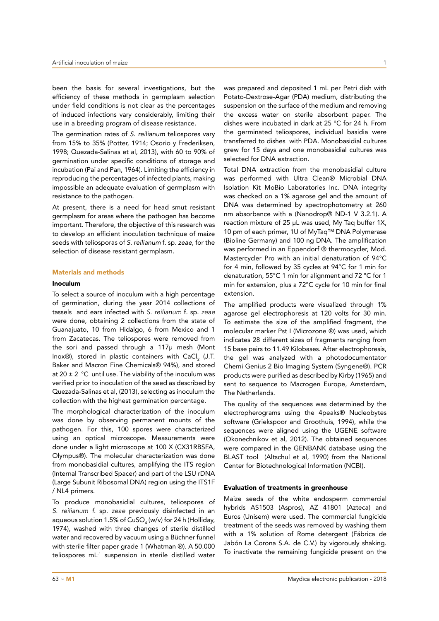been the basis for several investigations, but the efficiency of these methods in germplasm selection under field conditions is not clear as the percentages of induced infections vary considerably, limiting their use in a breeding program of disease resistance.

The germination rates of S. reilianum teliospores vary from 15% to 35% (Potter, 1914; Osorio y Frederiksen, 1998; Quezada-Salinas et al, 2013), with 60 to 90% of germination under specific conditions of storage and incubation (Pai and Pan, 1964). Limiting the efficiency in reproducing the percentages of infected plants, making impossible an adequate evaluation of germplasm with resistance to the pathogen.

At present, there is a need for head smut resistant germplasm for areas where the pathogen has become important. Therefore, the objective of this research was to develop an efficient inoculation technique of maize seeds with teliosporas of S. reilianum f. sp. *zeae*, for the selection of disease resistant germplasm.

### Materials and methods

### Inoculum

To select a source of inoculum with a high percentage of germination, during the year 2014 collections of tassels and ears infected with *S. reilianum* f. sp. *zeae* were done, obtaining 2 collections from the state of Guanajuato, 10 from Hidalgo, 6 from Mexico and 1 from Zacatecas. The teliospores were removed from the sori and passed through a 117μ mesh (Mont lnox®), stored in plastic containers with CaCl<sub>2</sub> (J.T. Baker and Macron Fine Chemicals® 94%), and stored at 20  $\pm$  2 °C until use. The viability of the inoculum was verified prior to inoculation of the seed as described by Quezada-Salinas et al, (2013), selecting as inoculum the collection with the highest germination percentage.

The morphological characterization of the inoculum was done by observing permanent mounts of the pathogen. For this, 100 spores were characterized using an optical microscope. Measurements were done under a light microscope at 100 X (CX31RBSFA, Olympus®). The molecular characterization was done from monobasidial cultures, amplifying the ITS region (Internal Transcribed Spacer) and part of the LSU rDNA (Large Subunit Ribosomal DNA) region using the ITS1F / NL4 primers.

To produce monobasidial cultures, teliospores of *S. reilianum f*. sp. *zeae* previously disinfected in an aqueous solution 1.5% of CuSO $_{\tiny 4}$  (w/v) for 24 h (Holliday, 1974), washed with three changes of sterile distilled water and recovered by vacuum using a Büchner funnel with sterile filter paper grade 1 (Whatman ®). A 50.000 teliospores mL-1 suspension in sterile distilled water

was prepared and deposited 1 mL per Petri dish with Potato-Dextrose-Agar (PDA) medium, distributing the suspension on the surface of the medium and removing the excess water on sterile absorbent paper. The dishes were incubated in dark at 25 °C for 24 h. From the germinated teliospores, individual basidia were transferred to dishes with PDA. Monobasidial cultures grew for 15 days and one monobasidial cultures was selected for DNA extraction.

Total DNA extraction from the monobasidial culture was performed with Ultra Clean® Microbial DNA Isolation Kit MoBio Laboratories Inc. DNA integrity was checked on a 1% agarose gel and the amount of DNA was determined by spectrophotometry at 260 nm absorbance with a (Nanodrop® ND-1 V 3.2.1). A reaction mixture of 25 μL was used, My Taq buffer 1X, 10 pm of each primer, 1U of MyTaq™ DNA Polymerase (Bioline Germany) and 100 ng DNA. The amplification was performed in an Eppendorf ® thermocycler, Mod. Mastercycler Pro with an initial denaturation of 94°C for 4 min, followed by 35 cycles at 94°C for 1 min for denaturation, 55°C 1 min for alignment and 72 °C for 1 min for extension, plus a 72°C cycle for 10 min for final extension.

The amplified products were visualized through 1% agarose gel electrophoresis at 120 volts for 30 min. To estimate the size of the amplified fragment, the molecular marker Pst I (Microzone ®) was used, which indicates 28 different sizes of fragments ranging from 15 base pairs to 11.49 Kilobases. After electrophoresis, the gel was analyzed with a photodocumentator Chemi Genius 2 Bio Imaging System (Syngene®). PCR products were purified as described by Kirby (1965) and sent to sequence to Macrogen Europe, Amsterdam, The Netherlands.

The quality of the sequences was determined by the electropherograms using the 4peaks® Nucleobytes software (Griekspoor and Groothuis, 1994), while the sequences were aligned using the UGENE software (Okonechnikov et al, 2012). The obtained sequences were compared in the GENBANK database using the BLAST tool (Altschul et al, 1990) from the National Center for Biotechnological Information (NCBI).

## Evaluation of treatments in greenhouse

Maize seeds of the white endosperm commercial hybrids AS1503 (Aspros), AZ 41801 (Azteca) and Euros (Unisem) were used. The commercial fungicide treatment of the seeds was removed by washing them with a 1% solution of Rome detergent (Fábrica de Jabón La Corona S.A. de C.V.) by vigorously shaking. To inactivate the remaining fungicide present on the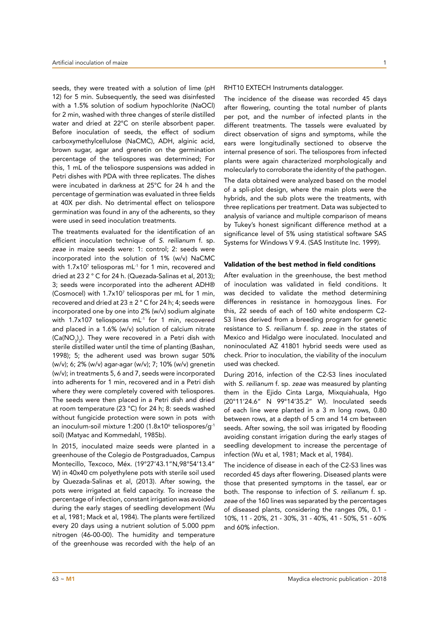seeds, they were treated with a solution of lime (pH 12) for 5 min. Subsequently, the seed was disinfested with a 1.5% solution of sodium hypochlorite (NaOCl) for 2 min, washed with three changes of sterile distilled water and dried at 22°C on sterile absorbent paper. Before inoculation of seeds, the effect of sodium carboxymethylcellulose (NaCMC), ADH, alginic acid, brown sugar, agar and grenetin on the germination percentage of the teliospores was determined; For this, 1 mL of the teliospore suspensions was added in Petri dishes with PDA with three replicates. The dishes were incubated in darkness at 25°C for 24 h and the percentage of germination was evaluated in three fields at 40X per dish. No detrimental effect on teliospore germination was found in any of the adherents, so they were used in seed inoculation treatments.

The treatments evaluated for the identification of an efficient inoculation technique of S. reilianum f. sp. *zeae* in maize seeds were: 1: control; 2: seeds were incorporated into the solution of 1% (w/v) NaCMC with 1.7x107 teliosporas mL-1 for 1 min, recovered and dried at 23 2 ° C for 24 h. (Quezada-Salinas et al, 2013); 3; seeds were incorporated into the adherent ADH® (Cosmocel) with 1.7x107 teliosporas per mL for 1 min, recovered and dried at  $23 \pm 2$  ° C for 24 h; 4; seeds were incorporated one by one into 2% (w/v) sodium alginate with 1.7x107 teliosporas mL<sup>-1</sup> for 1 min, recovered and placed in a 1.6% (w/v) solution of calcium nitrate (Ca(NO<sub>3</sub>)<sub>2</sub>). They were recovered in a Petri dish with sterile distilled water until the time of planting (Bashan, 1998); 5; the adherent used was brown sugar 50% (w/v); 6; 2% (w/v) agar-agar (w/v); 7; 10% (w/v) grenetin (w/v); in treatments 5, 6 and 7, seeds were incorporated into adherents for 1 min, recovered and in a Petri dish where they were completely covered with teliospores. The seeds were then placed in a Petri dish and dried at room temperature (23 °C) for 24 h; 8: seeds washed without fungicide protection were sown in pots with an inoculum-soil mixture 1:200 (1.8x10<sup>6</sup> teliospores/g<sup>-1</sup> soil) (Matyac and Kommedahl, 1985b).

In 2015, inoculated maize seeds were planted in a greenhouse of the Colegio de Postgraduados, Campus Montecillo, Texcoco, Méx. (19°27'43.1"N,98°54'13.4" W) in 40x40 cm polyethylene pots with sterile soil used by Quezada-Salinas et al, (2013). After sowing, the pots were irrigated at field capacity. To increase the percentage of infection, constant irrigation was avoided during the early stages of seedling development (Wu et al, 1981; Mack et al, 1984). The plants were fertilized every 20 days using a nutrient solution of 5.000 ppm nitrogen (46-00-00). The humidity and temperature of the greenhouse was recorded with the help of an

The incidence of the disease was recorded 45 days after flowering, counting the total number of plants per pot, and the number of infected plants in the different treatments. The tassels were evaluated by direct observation of signs and symptoms, while the ears were longitudinally sectioned to observe the internal presence of sori. The teliospores from infected plants were again characterized morphologically and molecularly to corroborate the identity of the pathogen. The data obtained were analyzed based on the model of a spli-plot design, where the main plots were the hybrids, and the sub plots were the treatments, with three replications per treatment. Data was subjected to analysis of variance and multiple comparison of means by Tukey's honest significant difference method at a significance level of 5% using statistical software SAS Systems for Windows V 9.4. (SAS Institute Inc. 1999).

### Validation of the best method in field conditions

After evaluation in the greenhouse, the best method of inoculation was validated in field conditions. It was decided to validate the method determining differences in resistance in homozygous lines. For this, 22 seeds of each of 160 white endosperm C2- S3 lines derived from a breeding program for genetic resistance to S. reilianum f. sp. *zeae* in the states of Mexico and Hidalgo were inoculated. Inoculated and noninoculated AZ 41801 hybrid seeds were used as check. Prior to inoculation, the viability of the inoculum used was checked.

During 2016, infection of the C2-S3 lines inoculated with S. reilianum f. sp. *zeae* was measured by planting them in the Ejido Cinta Larga, Mixquiahuala, Hgo (20°11'24.6" N 99°14'35.2" W). Inoculated seeds of each line were planted in a 3 m long rows, 0.80 between rows, at a depth of 5 cm and 14 cm between seeds. After sowing, the soil was irrigated by flooding avoiding constant irrigation during the early stages of seedling development to increase the percentage of infection (Wu et al, 1981; Mack et al, 1984).

The incidence of disease in each of the C2-S3 lines was recorded 45 days after flowering. Diseased plants were those that presented symptoms in the tassel, ear or both. The response to infection of S. reilianum f. sp. *zeae* of the 160 lines was separated by the percentages of diseased plants, considering the ranges 0%, 0.1 - 10%, 11 - 20%, 21 - 30%, 31 - 40%, 41 - 50%, 51 - 60% and 60% infection.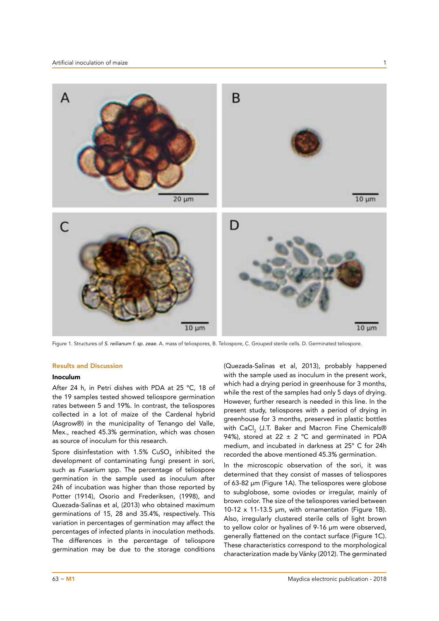

Figure 1. Structures of S. reilianum f. sp. zeae. A. mass of teliospores, B. Teliospore, C. Grouped sterile cells. D. Germinated teliospore.

# Results and Discussion

# Inoculum

After 24 h, in Petri dishes with PDA at 25 ºC, 18 of the 19 samples tested showed teliospore germination rates between 5 and 19%. In contrast, the teliospores collected in a lot of maize of the Cardenal hybrid (Asgrow®) in the municipality of Tenango del Valle, Mex., reached 45.3% germination, which was chosen as source of inoculum for this research.

Spore disinfestation with 1.5%  $\textsf{CuSO}_{_4}$  inhibited the development of contaminating fungi present in sori, such as *Fusarium* spp. The percentage of teliospore germination in the sample used as inoculum after 24h of incubation was higher than those reported by Potter (1914), Osorio and Frederiksen, (1998), and Quezada-Salinas et al, (2013) who obtained maximum germinations of 15, 28 and 35.4%, respectively. This variation in percentages of germination may affect the percentages of infected plants in inoculation methods. The differences in the percentage of teliospore germination may be due to the storage conditions

(Quezada-Salinas et al, 2013), probably happened with the sample used as inoculum in the present work, which had a drying period in greenhouse for 3 months, while the rest of the samples had only 5 days of drying. However, further research is needed in this line. In the present study, teliospores with a period of drying in greenhouse for 3 months, preserved in plastic bottles with CaCl $_2$  (J.T. Baker and Macron Fine Chemicals® 94%), stored at 22  $\pm$  2 °C and germinated in PDA medium, and incubated in darkness at 25° C for 24h recorded the above mentioned 45.3% germination.

In the microscopic observation of the sori, it was determined that they consist of masses of teliospores of 63-82 μm (Figure 1A). The teliospores were globose to subglobose, some oviodes or irregular, mainly of brown color. The size of the teliospores varied between 10-12 x 11-13.5 μm, with ornamentation (Figure 1B). Also, irregularly clustered sterile cells of light brown to yellow color or hyalines of 9-16 μm were observed, generally flattened on the contact surface (Figure 1C). These characteristics correspond to the morphological characterization made by Vánky (2012). The germinated

 $63 - M1$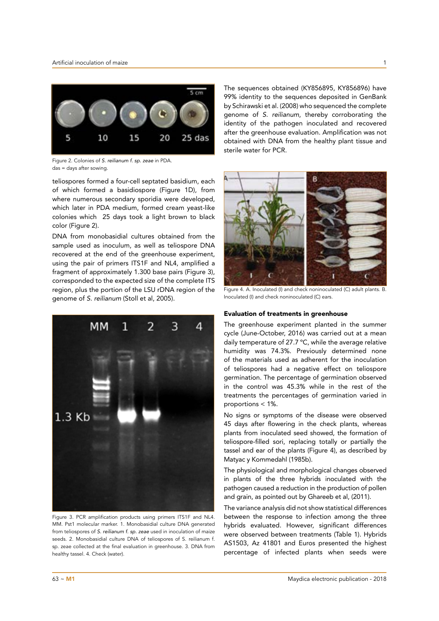

Figure 2. Colonies of S. reilianum f. sp. zeae in PDA. das = days after sowing.

teliospores formed a four-cell septated basidium, each of which formed a basidiospore (Figure 1D), from where numerous secondary sporidia were developed, which later in PDA medium, formed cream yeast-like colonies which 25 days took a light brown to black color (Figure 2).

DNA from monobasidial cultures obtained from the sample used as inoculum, as well as teliospore DNA recovered at the end of the greenhouse experiment, using the pair of primers ITS1F and NL4, amplified a fragment of approximately 1.300 base pairs (Figure 3), corresponded to the expected size of the complete ITS region, plus the portion of the LSU rDNA region of the genome of S. reilianum (Stoll et al, 2005).



Figure 3. PCR amplification products using primers ITS1F and NL4. MM. Pst1 molecular marker. 1. Monobasidial culture DNA generated from teliospores of S. reilianum f. sp. zeae used in inoculation of maize seeds. 2. Monobasidial culture DNA of teliospores of S. reilianum f. sp. zeae collected at the final evaluation in greenhouse. 3. DNA from healthy tassel. 4. Check (water).

The sequences obtained (KY856895, KY856896) have 99% identity to the sequences deposited in GenBank by Schirawski et al. (2008) who sequenced the complete genome of S. reilianum, thereby corroborating the identity of the pathogen inoculated and recovered after the greenhouse evaluation. Amplification was not obtained with DNA from the healthy plant tissue and sterile water for PCR.



Figure 4. A. Inoculated (I) and check noninoculated (C) adult plants. B. Inoculated (I) and check noninoculated (C) ears.

# Evaluation of treatments in greenhouse

The greenhouse experiment planted in the summer cycle (June-October, 2016) was carried out at a mean daily temperature of 27.7 ºC, while the average relative humidity was 74.3%. Previously determined none of the materials used as adherent for the inoculation of teliospores had a negative effect on teliospore germination. The percentage of germination observed in the control was 45.3% while in the rest of the treatments the percentages of germination varied in proportions < 1%.

No signs or symptoms of the disease were observed 45 days after flowering in the check plants, whereas plants from inoculated seed showed, the formation of teliospore-filled sori, replacing totally or partially the tassel and ear of the plants (Figure 4), as described by Matyac y Kommedahl (1985b).

The physiological and morphological changes observed in plants of the three hybrids inoculated with the pathogen caused a reduction in the production of pollen and grain, as pointed out by Ghareeb et al, (2011).

The variance analysis did not show statistical differences between the response to infection among the three hybrids evaluated. However, significant differences were observed between treatments (Table 1). Hybrids AS1503, Az 41801 and Euros presented the highest percentage of infected plants when seeds were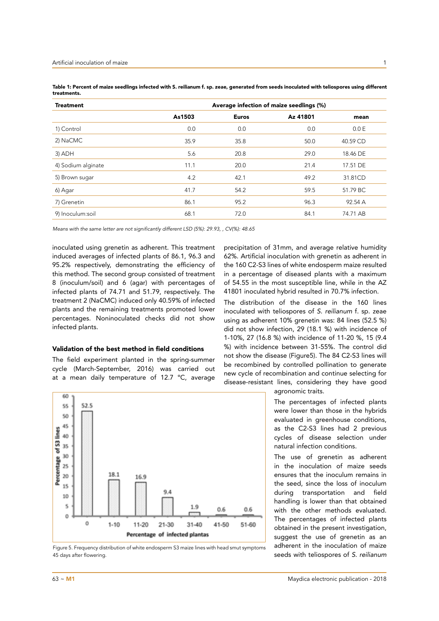1

| <b>Treatment</b>   | Average infection of maize seedlings (%) |              |          |          |
|--------------------|------------------------------------------|--------------|----------|----------|
|                    | As1503                                   | <b>Euros</b> | Az 41801 | mean     |
| 1) Control         | 0.0                                      | 0.0          | 0.0      | 0.0 E    |
| 2) NaCMC           | 35.9                                     | 35.8         | 50.0     | 40.59 CD |
| 3) ADH             | 5.6                                      | 20.8         | 29.0     | 18.46 DE |
| 4) Sodium alginate | 11.1                                     | 20.0         | 21.4     | 17.51 DE |
| 5) Brown sugar     | 4.2                                      | 42.1         | 49.2     | 31.81CD  |
| 6) Agar            | 41.7                                     | 54.2         | 59.5     | 51.79 BC |
| 7) Grenetin        | 86.1                                     | 95.2         | 96.3     | 92.54 A  |
| 9) Inoculum:soil   | 68.1                                     | 72.0         | 84.1     | 74.71 AB |

Table 1: Percent of maize seedlings infected with S. reilianum f. sp. zeae, generated from seeds inoculated with teliospores using different treatments.

Means with the same letter are not significantly different LSD (5%): 29.93, , CV(%): 48.65

inoculated using grenetin as adherent. This treatment induced averages of infected plants of 86.1, 96.3 and 95.2% respectively, demonstrating the efficiency of this method. The second group consisted of treatment 8 (inoculum/soil) and 6 (agar) with percentages of infected plants of 74.71 and 51.79, respectively. The treatment 2 (NaCMC) induced only 40.59% of infected plants and the remaining treatments promoted lower percentages. Noninoculated checks did not show infected plants.

# Validation of the best method in field conditions

The field experiment planted in the spring-summer cycle (March-September, 2016) was carried out at a mean daily temperature of 12.7 ºC, average



Figure 5. Frequency distribution of white endosperm S3 maize lines with head smut symptoms 45 days after flowering.

precipitation of 31mm, and average relative humidity 62%. Artificial inoculation with grenetin as adherent in the 160 C2-S3 lines of white endosperm maize resulted in a percentage of diseased plants with a maximum of 54.55 in the most susceptible line, while in the AZ 41801 inoculated hybrid resulted in 70.7% infection.

The distribution of the disease in the 160 lines inoculated with teliospores of S. reilianum f. sp. zeae using as adherent 10% grenetin was: 84 lines (52.5 %) did not show infection, 29 (18.1 %) with incidence of 1-10%, 27 (16.8 %) with incidence of 11-20 %, 15 (9.4 %) with incidence between 31-55%. The control did not show the disease (Figure5). The 84 C2-S3 lines will be recombined by controlled pollination to generate new cycle of recombination and continue selecting for disease-resistant lines, considering they have good

agronomic traits.

The percentages of infected plants were lower than those in the hybrids evaluated in greenhouse conditions, as the C2-S3 lines had 2 previous cycles of disease selection under natural infection conditions.

The use of grenetin as adherent in the inoculation of maize seeds ensures that the inoculum remains in the seed, since the loss of inoculum during transportation and field handling is lower than that obtained with the other methods evaluated. The percentages of infected plants obtained in the present investigation, suggest the use of grenetin as an adherent in the inoculation of maize seeds with teliospores of S. reilianum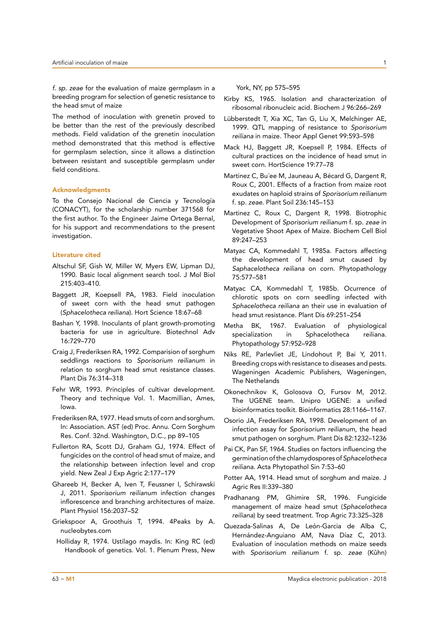f. sp. zeae for the evaluation of maize germplasm in a breeding program for selection of genetic resistance to the head smut of maize

The method of inoculation with grenetin proved to be better than the rest of the previously described methods. Field validation of the grenetin inoculation method demonstrated that this method is effective for germplasm selection, since it allows a distinction between resistant and susceptible germplasm under field conditions.

### Acknowledgments

To the Consejo Nacional de Ciencia y Tecnología (CONACYT), for the scholarship number 371568 for the first author. To the Engineer Jaime Ortega Bernal, for his support and recommendations to the present investigation.

### Literature cited

- Altschul SF, Gish W, Miller W, Myers EW, Lipman DJ, 1990. Basic local alignment search tool. J Mol Biol 215:403–410.
- Baggett JR, Koepsell PA, 1983. Field inoculation of sweet corn with the head smut pathogen (Sphacelotheca reiliana). Hort Science 18:67–68
- Bashan Y, 1998. Inoculants of plant growth-promoting bacteria for use in agriculture. Biotechnol Adv 16:729–770
- Craig J, Frederiksen RA, 1992. Comparision of sorghum seddlings reactions to *Sporisorium reilianum* in relation to sorghum head smut resistance classes. Plant Dis 76:314–318
- Fehr WR, 1993. Principles of cultivar development. Theory and technique Vol. 1. Macmillian, Ames, Iowa.
- Frederiksen RA, 1977. Head smuts of corn and sorghum. In: Association. AST (ed) Proc. Annu. Corn Sorghum Res. Conf. 32nd. Washington, D.C., pp 89–105
- Fullerton RA, Scott DJ, Graham GJ, 1974. Effect of fungicides on the control of head smut of maize, and the relationship between infection level and crop yield. New Zeal J Exp Agric 2:177–179
- Ghareeb H, Becker A, Iven T, Feussner I, Schirawski J, 2011. *Sporisorium reilianum* infection changes inflorescence and branching architectures of maize. Plant Physiol 156:2037–52
- Griekspoor A, Groothuis T, 1994. 4Peaks by A. nucleobytes.com
- Holliday R, 1974. Ustilago maydis. In: King RC (ed) Handbook of genetics. Vol. 1. Plenum Press, New

York, NY, pp 575–595

- Kirby KS, 1965. Isolation and characterization of ribosomal ribonucleic acid. Biochem J 96:266–269
- Lübberstedt T, Xia XC, Tan G, Liu X, Melchinger AE, 1999. QTL mapping of resistance to *Sporisorium reiliana* in maize. Theor Appl Genet 99:593–598
- Mack HJ, Baggett JR, Koepsell P, 1984. Effects of cultural practices on the incidence of head smut in sweet corn. HortScience 19:77–78
- Martinez C, Bu´ee M, Jauneau A, Bécard G, Dargent R, Roux C, 2001. Effects of a fraction from maize root exudates on haploid strains of *Sporisorium reilianum*  f. sp. *zeae*. Plant Soil 236:145–153
- Martinez C, Roux C, Dargent R, 1998. Biotrophic Development of *Sporisorium reilianum* f. sp. *zeae* in Vegetative Shoot Apex of Maize. Biochem Cell Biol 89:247–253
- Matyac CA, Kommedahl T, 1985a. Factors affecting the development of head smut caused by Saphacelotheca reiliana on corn. Phytopathology 75:577–581
- Matyac CA, Kommedahl T, 1985b. Ocurrence of chlorotic spots on corn seedling infected with Sphacelotheca reiliana an their use in evaluation of head smut resistance. Plant Dis 69:251–254
- Metha BK, 1967. Evaluation of physiological specialization in Sphacelotheca reiliana. Phytopathology 57:952–928
- Niks RE, Parlevliet JE, Lindohout P, Bai Y, 2011. Breeding crops with resistance to diseases and pests. Wageningen Academic Publishers, Wageningen, The Nethelands
- Okonechnikov K, Golosova O, Fursov M, 2012. The UGENE team. Unipro UGENE: a unified bioinformatics toolkit. Bioinformatics 28:1166–1167.
- Osorio JA, Frederiksen RA, 1998. Development of an infection assay for *Sporisorium reilianum*, the head smut pathogen on sorghum. Plant Dis 82:1232–1236
- Pai CK, Pan SF, 1964. Studies on factors influencing the germination of the chlamydospores of Sphacelotheca *reiliana*. Acta Phytopathol Sin 7:53–60
- Potter AA, 1914. Head smut of sorghum and maize. J Agric Res II:339–380
- Pradhanang PM, Ghimire SR, 1996. Fungicide management of maize head smut (Sphacelotheca *reiliana*) by seed treatment. Trop Agric 73:325–328
- Quezada-Salinas A, De León-Garcia de Alba C, Hernández-Anguiano AM, Nava Díaz C, 2013. Evaluation of inoculation methods on maize seeds with *Sporisorium reilianum* f. sp. *zeae* (Kûhn)